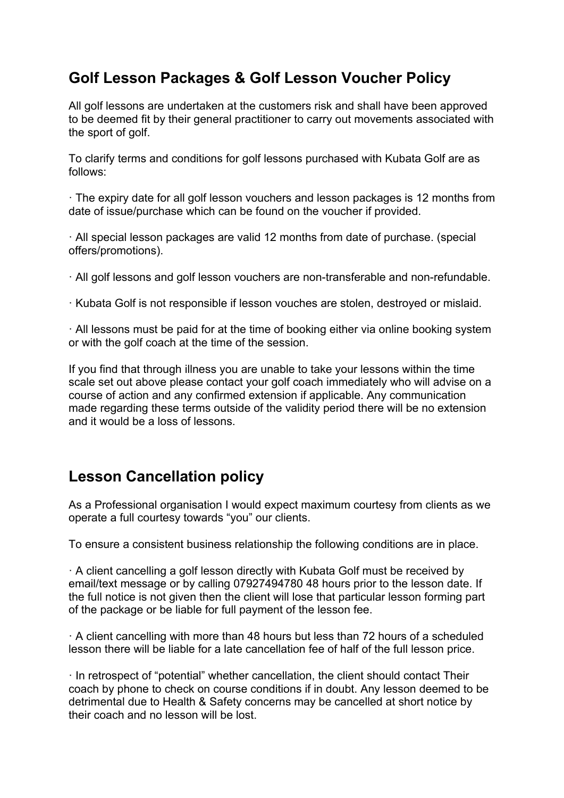## **Golf Lesson Packages & Golf Lesson Voucher Policy**

All golf lessons are undertaken at the customers risk and shall have been approved to be deemed fit by their general practitioner to carry out movements associated with the sport of golf.

To clarify terms and conditions for golf lessons purchased with Kubata Golf are as follows:

· The expiry date for all golf lesson vouchers and lesson packages is 12 months from date of issue/purchase which can be found on the voucher if provided.

· All special lesson packages are valid 12 months from date of purchase. (special offers/promotions).

· All golf lessons and golf lesson vouchers are non-transferable and non-refundable.

· Kubata Golf is not responsible if lesson vouches are stolen, destroyed or mislaid.

· All lessons must be paid for at the time of booking either via online booking system or with the golf coach at the time of the session.

If you find that through illness you are unable to take your lessons within the time scale set out above please contact your golf coach immediately who will advise on a course of action and any confirmed extension if applicable. Any communication made regarding these terms outside of the validity period there will be no extension and it would be a loss of lessons.

## **Lesson Cancellation policy**

As a Professional organisation I would expect maximum courtesy from clients as we operate a full courtesy towards "you" our clients.

To ensure a consistent business relationship the following conditions are in place.

· A client cancelling a golf lesson directly with Kubata Golf must be received by email/text message or by calling 07927494780 48 hours prior to the lesson date. If the full notice is not given then the client will lose that particular lesson forming part of the package or be liable for full payment of the lesson fee.

· A client cancelling with more than 48 hours but less than 72 hours of a scheduled lesson there will be liable for a late cancellation fee of half of the full lesson price.

· In retrospect of "potential" whether cancellation, the client should contact Their coach by phone to check on course conditions if in doubt. Any lesson deemed to be detrimental due to Health & Safety concerns may be cancelled at short notice by their coach and no lesson will be lost.